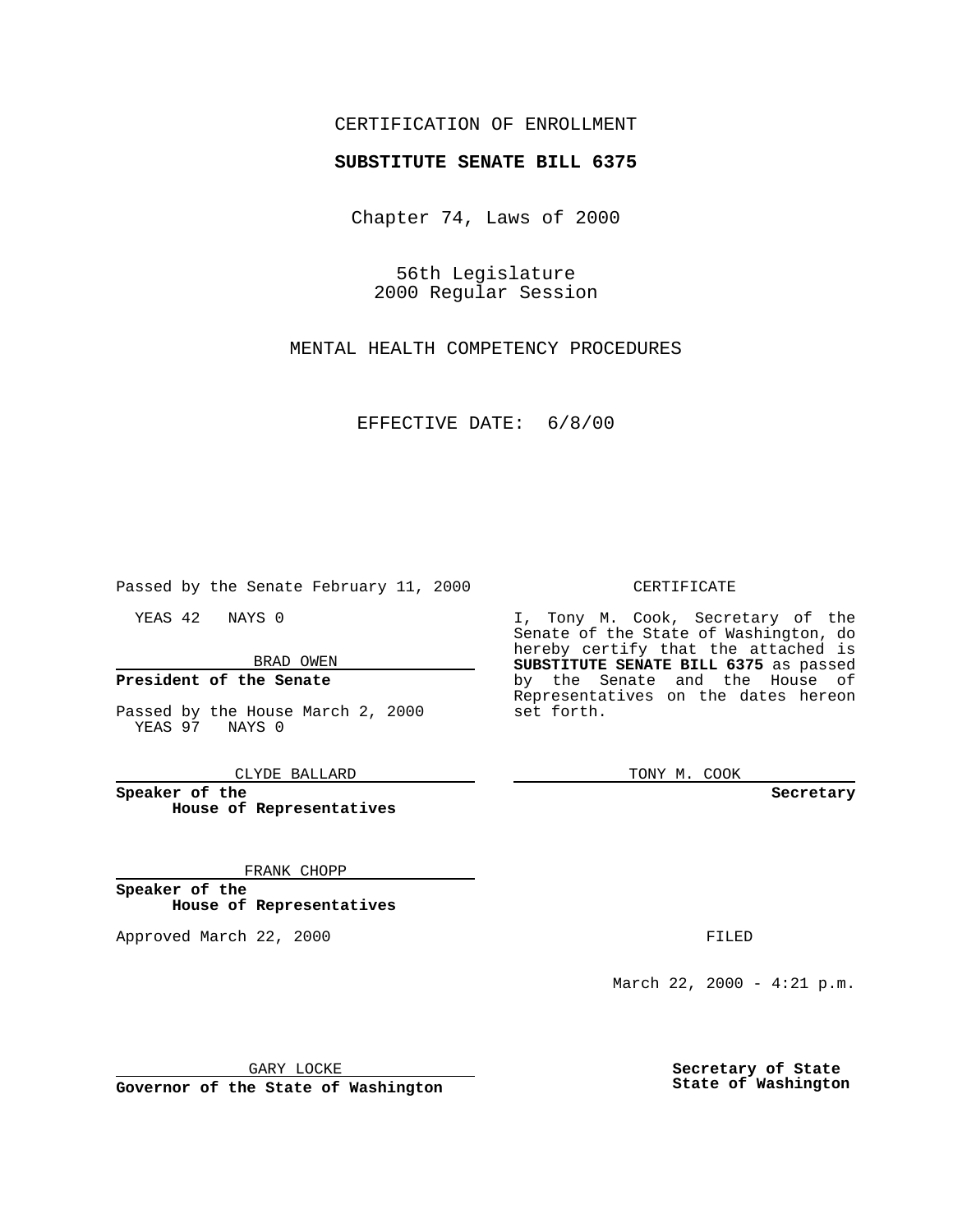## CERTIFICATION OF ENROLLMENT

# **SUBSTITUTE SENATE BILL 6375**

Chapter 74, Laws of 2000

56th Legislature 2000 Regular Session

MENTAL HEALTH COMPETENCY PROCEDURES

EFFECTIVE DATE: 6/8/00

Passed by the Senate February 11, 2000

YEAS 42 NAYS 0

BRAD OWEN

### **President of the Senate**

Passed by the House March 2, 2000 YEAS 97 NAYS 0

CLYDE BALLARD

**Speaker of the House of Representatives**

#### FRANK CHOPP

**Speaker of the House of Representatives**

Approved March 22, 2000 FILED

#### CERTIFICATE

I, Tony M. Cook, Secretary of the Senate of the State of Washington, do hereby certify that the attached is **SUBSTITUTE SENATE BILL 6375** as passed by the Senate and the House of Representatives on the dates hereon set forth.

TONY M. COOK

**Secretary**

March 22, 2000 - 4:21 p.m.

GARY LOCKE

**Governor of the State of Washington**

**Secretary of State State of Washington**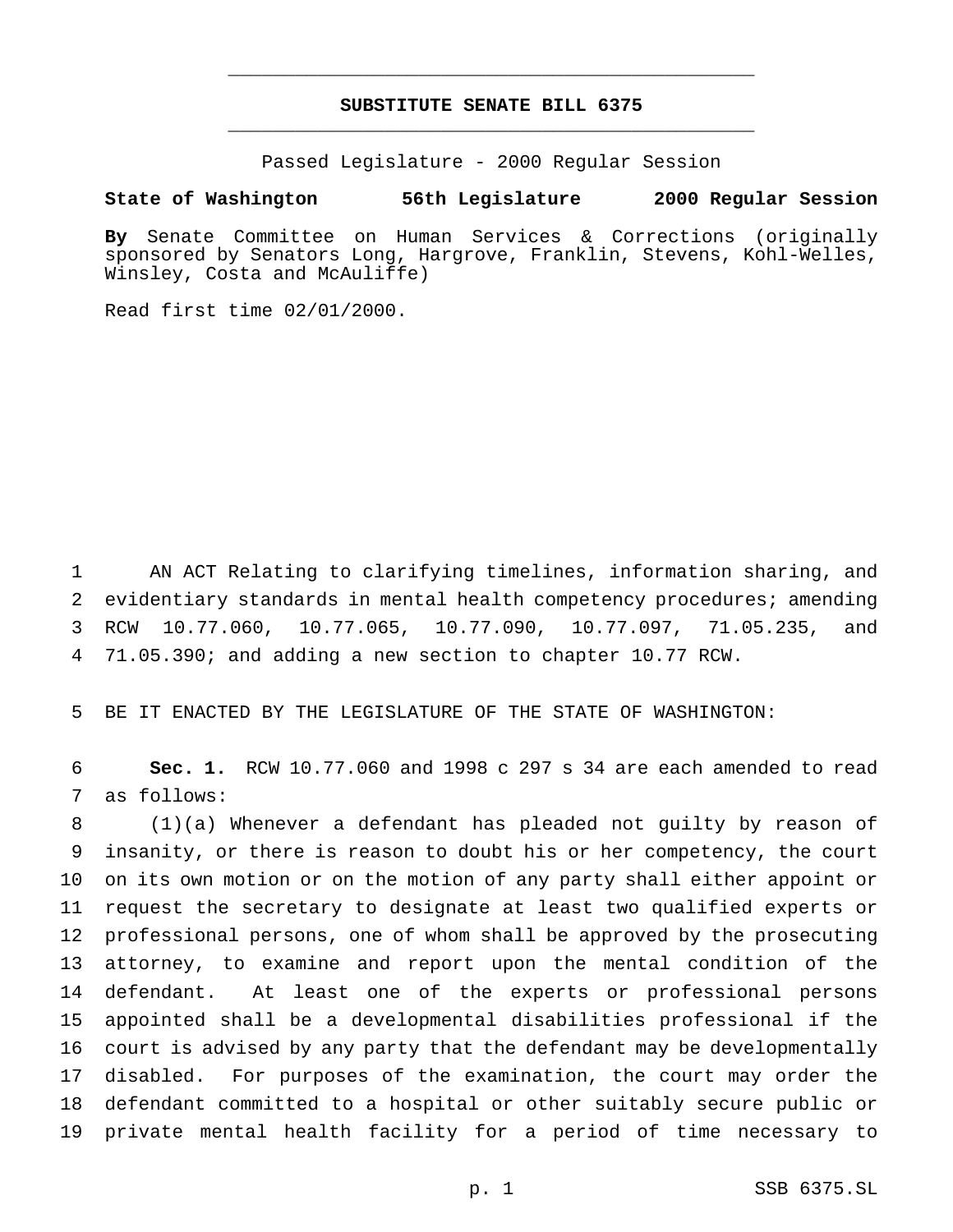## **SUBSTITUTE SENATE BILL 6375** \_\_\_\_\_\_\_\_\_\_\_\_\_\_\_\_\_\_\_\_\_\_\_\_\_\_\_\_\_\_\_\_\_\_\_\_\_\_\_\_\_\_\_\_\_\_\_

\_\_\_\_\_\_\_\_\_\_\_\_\_\_\_\_\_\_\_\_\_\_\_\_\_\_\_\_\_\_\_\_\_\_\_\_\_\_\_\_\_\_\_\_\_\_\_

Passed Legislature - 2000 Regular Session

#### **State of Washington 56th Legislature 2000 Regular Session**

**By** Senate Committee on Human Services & Corrections (originally sponsored by Senators Long, Hargrove, Franklin, Stevens, Kohl-Welles, Winsley, Costa and McAuliffe)

Read first time 02/01/2000.

 AN ACT Relating to clarifying timelines, information sharing, and evidentiary standards in mental health competency procedures; amending RCW 10.77.060, 10.77.065, 10.77.090, 10.77.097, 71.05.235, and 71.05.390; and adding a new section to chapter 10.77 RCW.

BE IT ENACTED BY THE LEGISLATURE OF THE STATE OF WASHINGTON:

 **Sec. 1.** RCW 10.77.060 and 1998 c 297 s 34 are each amended to read as follows:

 (1)(a) Whenever a defendant has pleaded not guilty by reason of insanity, or there is reason to doubt his or her competency, the court on its own motion or on the motion of any party shall either appoint or request the secretary to designate at least two qualified experts or professional persons, one of whom shall be approved by the prosecuting attorney, to examine and report upon the mental condition of the defendant. At least one of the experts or professional persons appointed shall be a developmental disabilities professional if the court is advised by any party that the defendant may be developmentally disabled. For purposes of the examination, the court may order the defendant committed to a hospital or other suitably secure public or private mental health facility for a period of time necessary to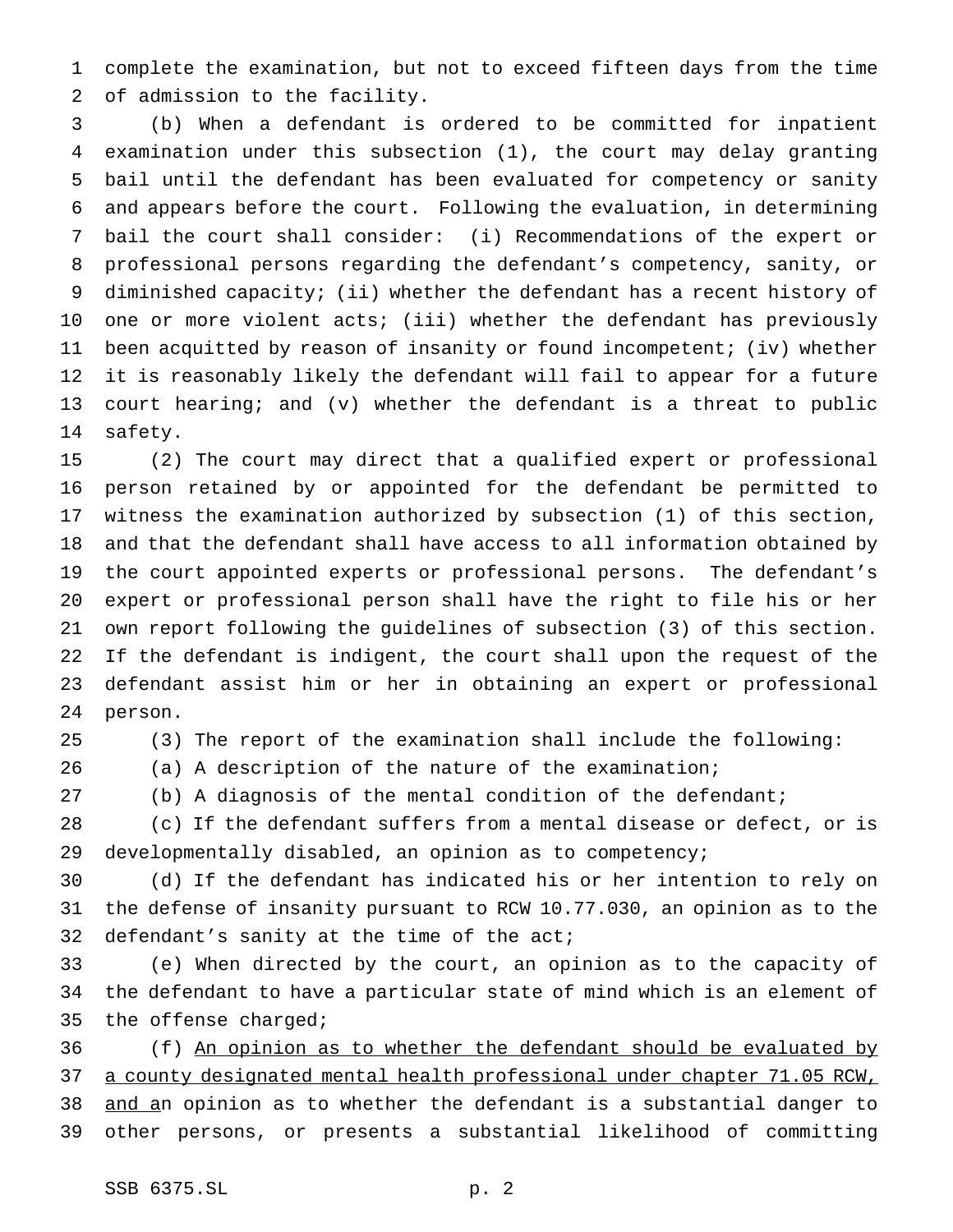complete the examination, but not to exceed fifteen days from the time of admission to the facility.

 (b) When a defendant is ordered to be committed for inpatient examination under this subsection (1), the court may delay granting bail until the defendant has been evaluated for competency or sanity and appears before the court. Following the evaluation, in determining bail the court shall consider: (i) Recommendations of the expert or professional persons regarding the defendant's competency, sanity, or diminished capacity; (ii) whether the defendant has a recent history of one or more violent acts; (iii) whether the defendant has previously been acquitted by reason of insanity or found incompetent; (iv) whether it is reasonably likely the defendant will fail to appear for a future court hearing; and (v) whether the defendant is a threat to public safety.

 (2) The court may direct that a qualified expert or professional person retained by or appointed for the defendant be permitted to witness the examination authorized by subsection (1) of this section, and that the defendant shall have access to all information obtained by the court appointed experts or professional persons. The defendant's expert or professional person shall have the right to file his or her own report following the guidelines of subsection (3) of this section. If the defendant is indigent, the court shall upon the request of the defendant assist him or her in obtaining an expert or professional person.

(3) The report of the examination shall include the following:

(a) A description of the nature of the examination;

(b) A diagnosis of the mental condition of the defendant;

 (c) If the defendant suffers from a mental disease or defect, or is developmentally disabled, an opinion as to competency;

 (d) If the defendant has indicated his or her intention to rely on the defense of insanity pursuant to RCW 10.77.030, an opinion as to the defendant's sanity at the time of the act;

 (e) When directed by the court, an opinion as to the capacity of the defendant to have a particular state of mind which is an element of 35 the offense charged;

 (f) An opinion as to whether the defendant should be evaluated by a county designated mental health professional under chapter 71.05 RCW, and an opinion as to whether the defendant is a substantial danger to other persons, or presents a substantial likelihood of committing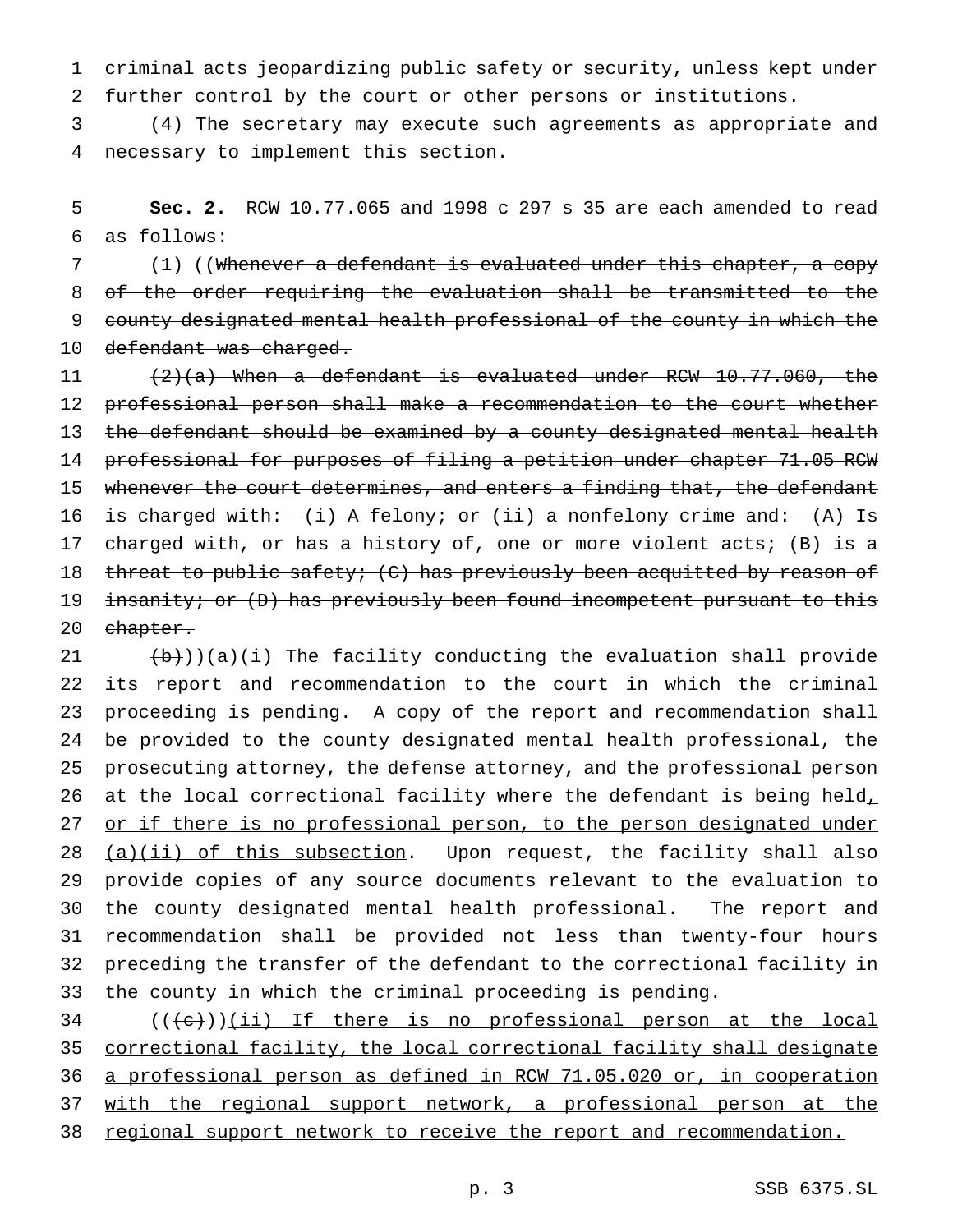criminal acts jeopardizing public safety or security, unless kept under further control by the court or other persons or institutions.

 (4) The secretary may execute such agreements as appropriate and necessary to implement this section.

 **Sec. 2.** RCW 10.77.065 and 1998 c 297 s 35 are each amended to read as follows:

 (1) ((Whenever a defendant is evaluated under this chapter, a copy of the order requiring the evaluation shall be transmitted to the 9 county designated mental health professional of the county in which the 10 defendant was charged.

 (2)(a) When a defendant is evaluated under RCW 10.77.060, the professional person shall make a recommendation to the court whether 13 the defendant should be examined by a county designated mental health professional for purposes of filing a petition under chapter 71.05 RCW 15 whenever the court determines, and enters a finding that, the defendant 16 is charged with: (i) A felony; or (ii) a nonfelony crime and: (A) Is 17 charged with, or has a history of, one or more violent acts; (B) is a 18 threat to public safety; (C) has previously been acquitted by reason of 19 insanity; or (D) has previously been found incompetent pursuant to this 20 chapter.

 $(\frac{b}{b})$ )(a)(i) The facility conducting the evaluation shall provide its report and recommendation to the court in which the criminal proceeding is pending. A copy of the report and recommendation shall be provided to the county designated mental health professional, the prosecuting attorney, the defense attorney, and the professional person 26 at the local correctional facility where the defendant is being held, 27 or if there is no professional person, to the person designated under 28 (a)(ii) of this subsection. Upon request, the facility shall also provide copies of any source documents relevant to the evaluation to the county designated mental health professional. The report and recommendation shall be provided not less than twenty-four hours preceding the transfer of the defendant to the correctional facility in the county in which the criminal proceeding is pending.

  $((e+))$ (ii) If there is no professional person at the local correctional facility, the local correctional facility shall designate a professional person as defined in RCW 71.05.020 or, in cooperation 37 with the regional support network, a professional person at the regional support network to receive the report and recommendation.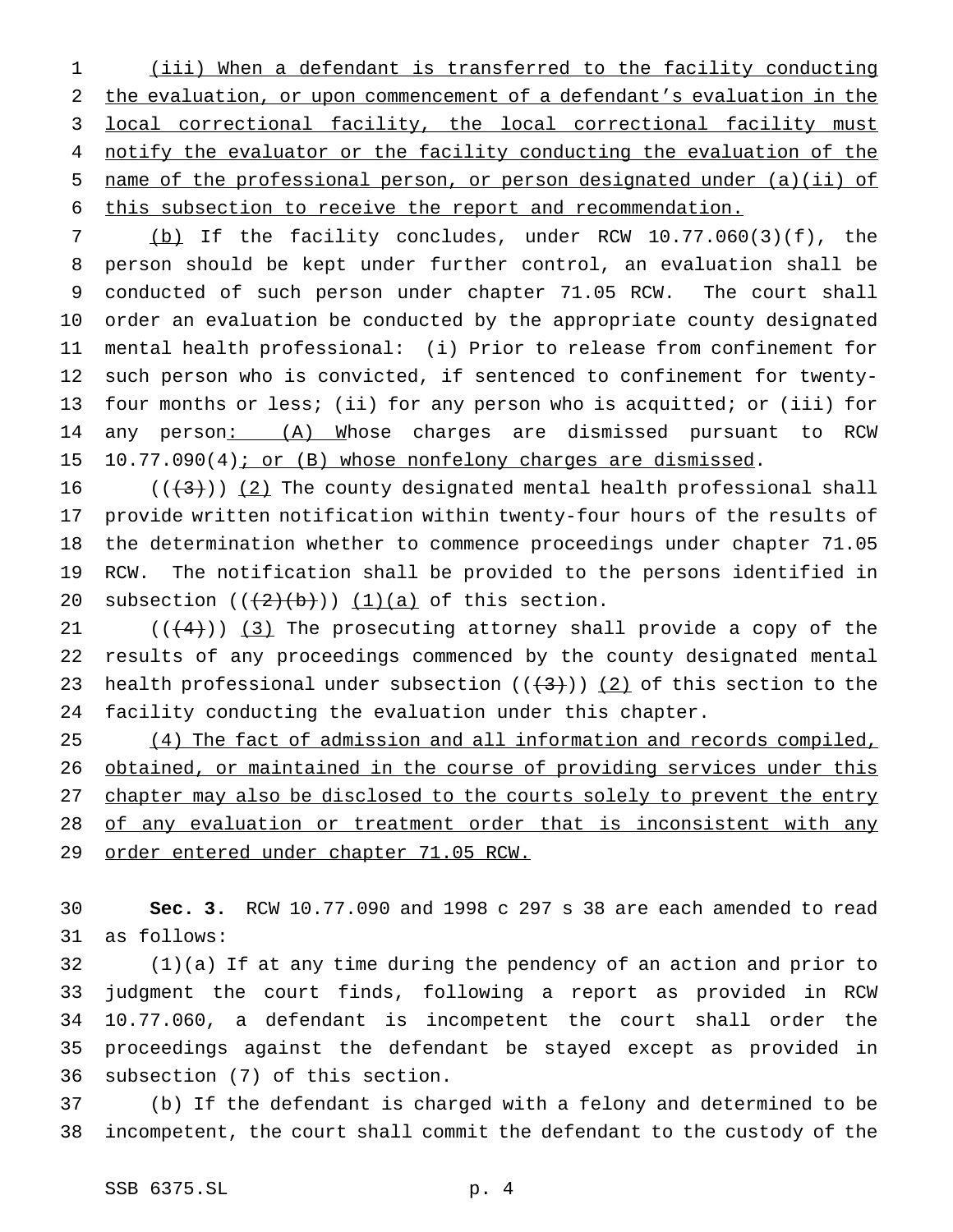(iii) When a defendant is transferred to the facility conducting the evaluation, or upon commencement of a defendant's evaluation in the local correctional facility, the local correctional facility must notify the evaluator or the facility conducting the evaluation of the name of the professional person, or person designated under (a)(ii) of this subsection to receive the report and recommendation.

 (b) If the facility concludes, under RCW 10.77.060(3)(f), the person should be kept under further control, an evaluation shall be conducted of such person under chapter 71.05 RCW. The court shall order an evaluation be conducted by the appropriate county designated mental health professional: (i) Prior to release from confinement for such person who is convicted, if sentenced to confinement for twenty- four months or less; (ii) for any person who is acquitted; or (iii) for 14 any person: (A) Whose charges are dismissed pursuant to RCW 15 10.77.090(4); or (B) whose nonfelony charges are dismissed.

 $((+3))$  (2) The county designated mental health professional shall provide written notification within twenty-four hours of the results of the determination whether to commence proceedings under chapter 71.05 RCW. The notification shall be provided to the persons identified in 20 subsection  $((2+(b)))(1)(a)$  of this section.

 $((+4))$   $(3)$  The prosecuting attorney shall provide a copy of the results of any proceedings commenced by the county designated mental 23 health professional under subsection  $((+3))$  (2) of this section to the facility conducting the evaluation under this chapter.

25 (4) The fact of admission and all information and records compiled, 26 obtained, or maintained in the course of providing services under this 27 chapter may also be disclosed to the courts solely to prevent the entry of any evaluation or treatment order that is inconsistent with any order entered under chapter 71.05 RCW.

 **Sec. 3.** RCW 10.77.090 and 1998 c 297 s 38 are each amended to read as follows:

 (1)(a) If at any time during the pendency of an action and prior to judgment the court finds, following a report as provided in RCW 10.77.060, a defendant is incompetent the court shall order the proceedings against the defendant be stayed except as provided in subsection (7) of this section.

 (b) If the defendant is charged with a felony and determined to be incompetent, the court shall commit the defendant to the custody of the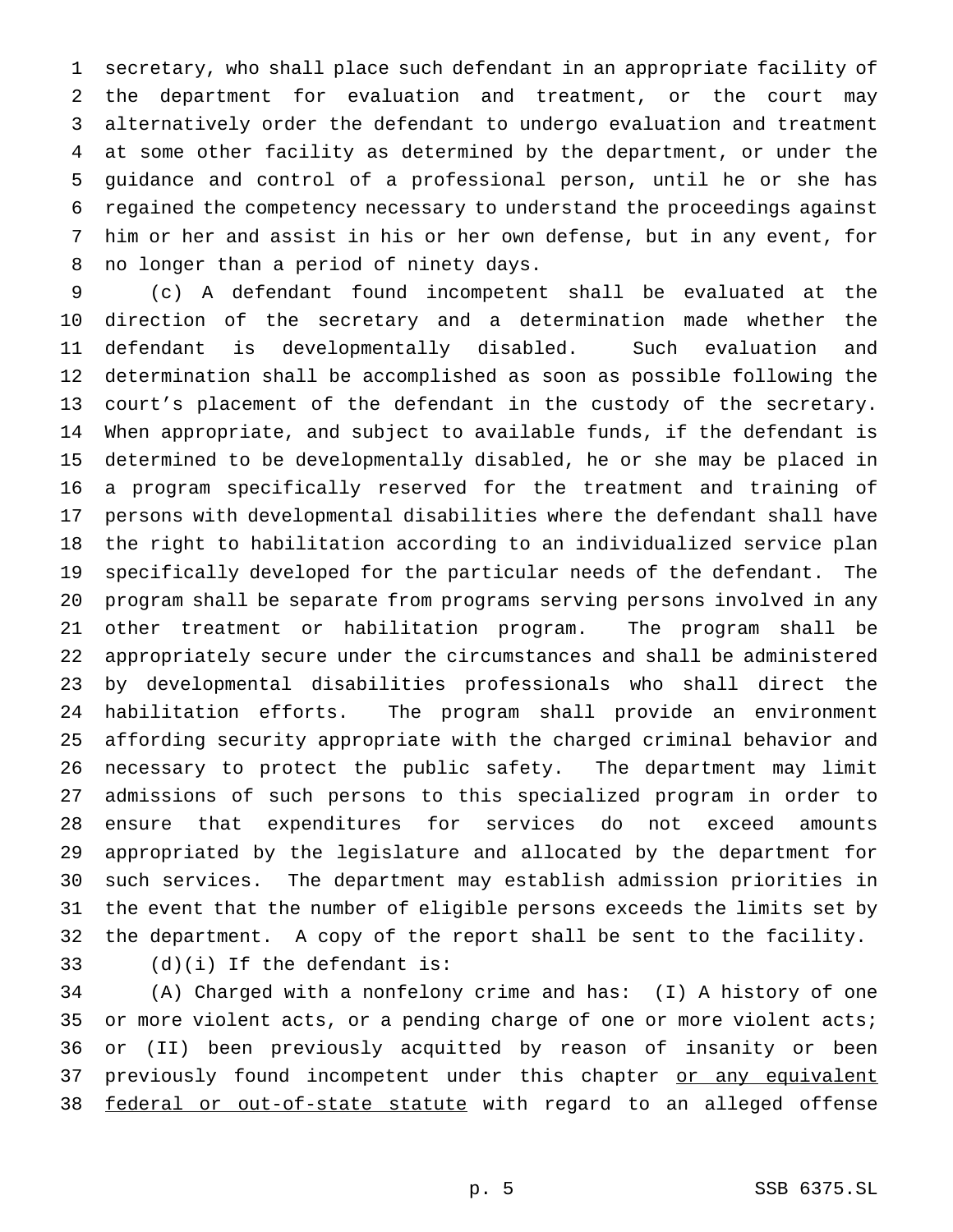secretary, who shall place such defendant in an appropriate facility of the department for evaluation and treatment, or the court may alternatively order the defendant to undergo evaluation and treatment at some other facility as determined by the department, or under the guidance and control of a professional person, until he or she has regained the competency necessary to understand the proceedings against him or her and assist in his or her own defense, but in any event, for no longer than a period of ninety days.

 (c) A defendant found incompetent shall be evaluated at the direction of the secretary and a determination made whether the defendant is developmentally disabled. Such evaluation and determination shall be accomplished as soon as possible following the court's placement of the defendant in the custody of the secretary. When appropriate, and subject to available funds, if the defendant is determined to be developmentally disabled, he or she may be placed in a program specifically reserved for the treatment and training of persons with developmental disabilities where the defendant shall have the right to habilitation according to an individualized service plan specifically developed for the particular needs of the defendant. The program shall be separate from programs serving persons involved in any other treatment or habilitation program. The program shall be appropriately secure under the circumstances and shall be administered by developmental disabilities professionals who shall direct the habilitation efforts. The program shall provide an environment affording security appropriate with the charged criminal behavior and necessary to protect the public safety. The department may limit admissions of such persons to this specialized program in order to ensure that expenditures for services do not exceed amounts appropriated by the legislature and allocated by the department for such services. The department may establish admission priorities in the event that the number of eligible persons exceeds the limits set by the department. A copy of the report shall be sent to the facility.

(d)(i) If the defendant is:

 (A) Charged with a nonfelony crime and has: (I) A history of one 35 or more violent acts, or a pending charge of one or more violent acts; or (II) been previously acquitted by reason of insanity or been 37 previously found incompetent under this chapter or any equivalent 38 federal or out-of-state statute with regard to an alleged offense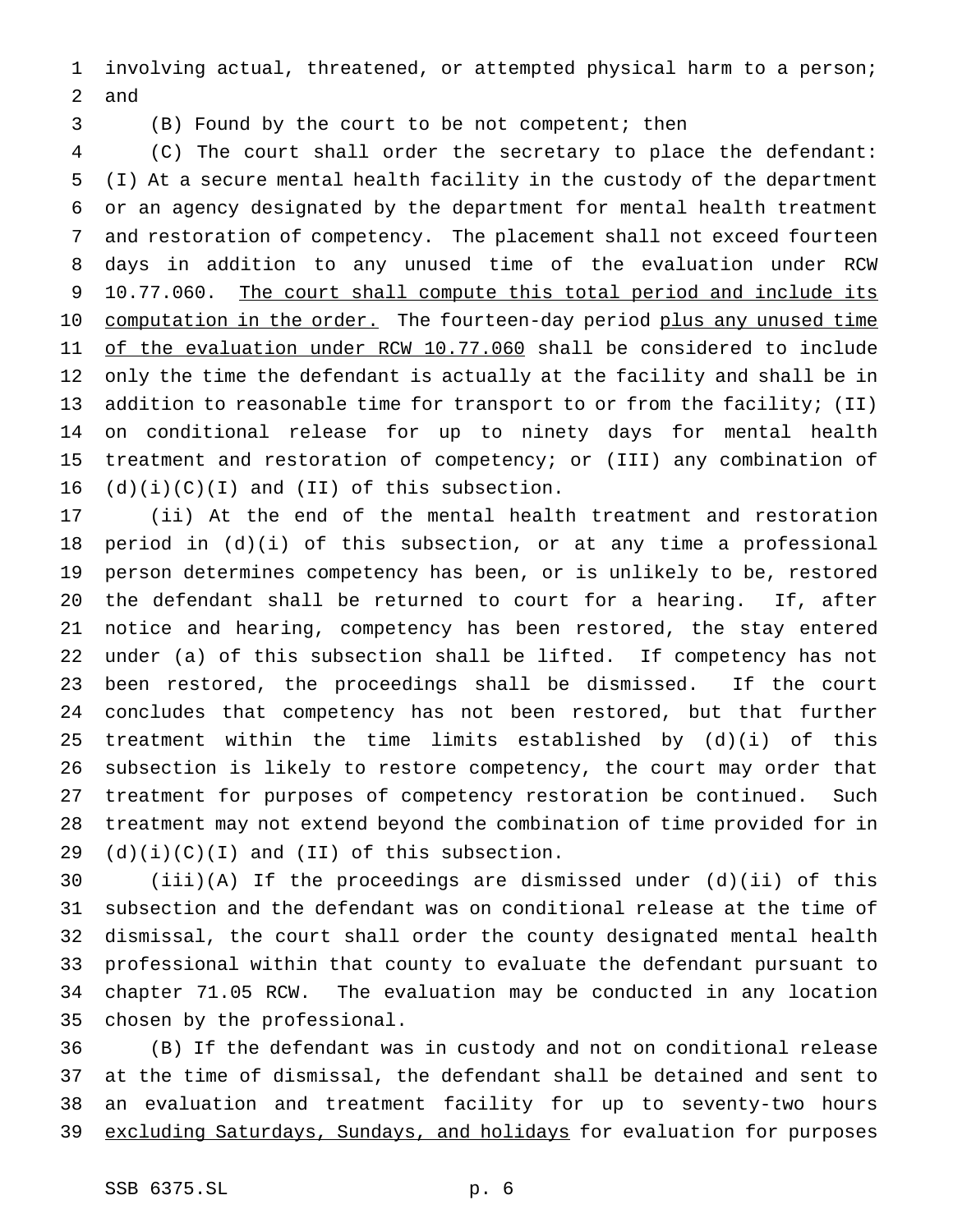involving actual, threatened, or attempted physical harm to a person; and

(B) Found by the court to be not competent; then

 (C) The court shall order the secretary to place the defendant: (I) At a secure mental health facility in the custody of the department or an agency designated by the department for mental health treatment and restoration of competency. The placement shall not exceed fourteen days in addition to any unused time of the evaluation under RCW 9 10.77.060. The court shall compute this total period and include its 10 computation in the order. The fourteen-day period plus any unused time 11 of the evaluation under RCW 10.77.060 shall be considered to include only the time the defendant is actually at the facility and shall be in 13 addition to reasonable time for transport to or from the facility; (II) on conditional release for up to ninety days for mental health treatment and restoration of competency; or (III) any combination of  $(d)(i)(C)(I)$  and  $(II)$  of this subsection.

 (ii) At the end of the mental health treatment and restoration period in (d)(i) of this subsection, or at any time a professional person determines competency has been, or is unlikely to be, restored the defendant shall be returned to court for a hearing. If, after notice and hearing, competency has been restored, the stay entered under (a) of this subsection shall be lifted. If competency has not been restored, the proceedings shall be dismissed. If the court concludes that competency has not been restored, but that further treatment within the time limits established by (d)(i) of this subsection is likely to restore competency, the court may order that treatment for purposes of competency restoration be continued. Such treatment may not extend beyond the combination of time provided for in  $(d)(i)(C)(I)$  and  $(II)$  of this subsection.

 (iii)(A) If the proceedings are dismissed under (d)(ii) of this subsection and the defendant was on conditional release at the time of dismissal, the court shall order the county designated mental health professional within that county to evaluate the defendant pursuant to chapter 71.05 RCW. The evaluation may be conducted in any location chosen by the professional.

 (B) If the defendant was in custody and not on conditional release at the time of dismissal, the defendant shall be detained and sent to an evaluation and treatment facility for up to seventy-two hours 39 excluding Saturdays, Sundays, and holidays for evaluation for purposes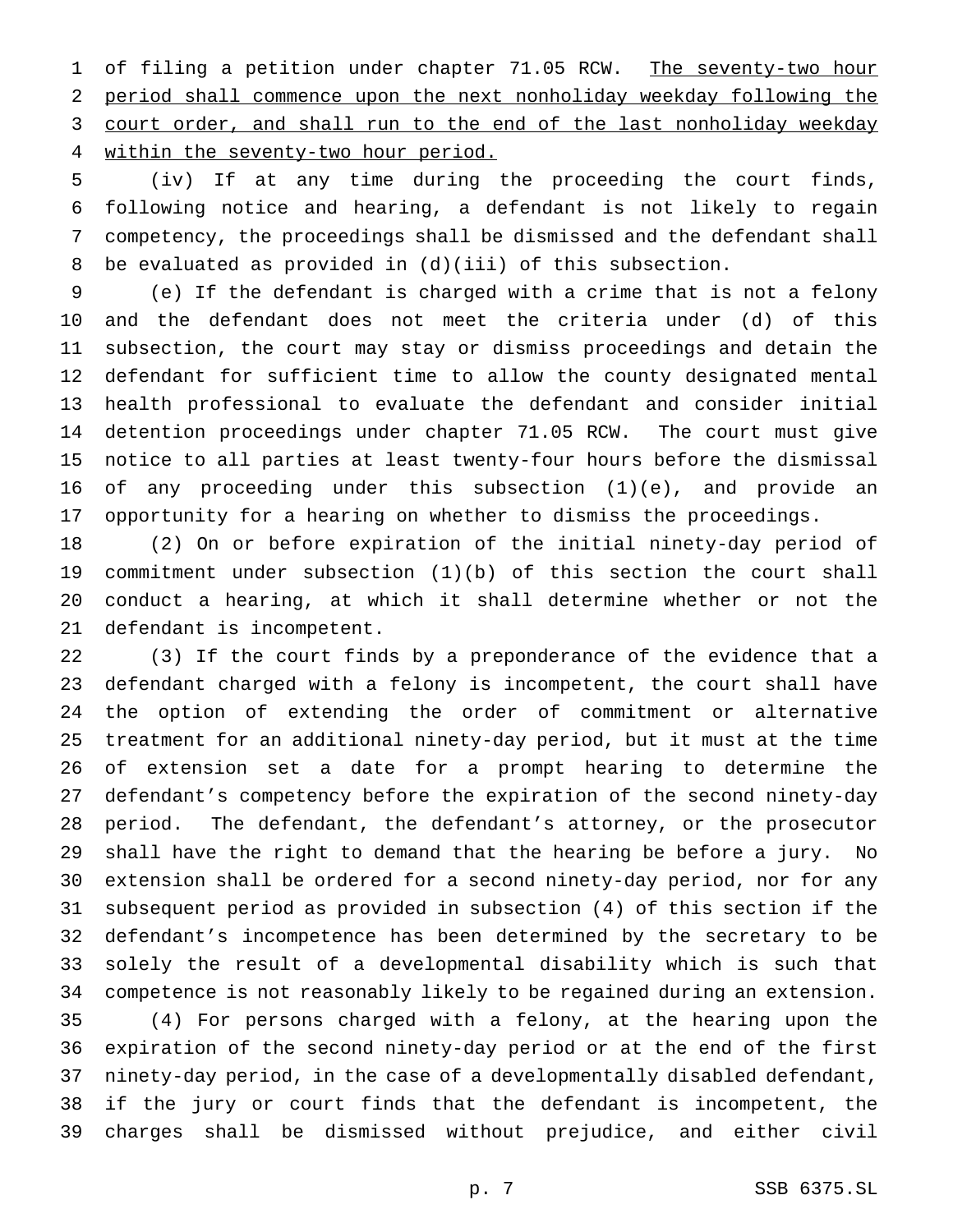1 of filing a petition under chapter 71.05 RCW. The seventy-two hour period shall commence upon the next nonholiday weekday following the 3 court order, and shall run to the end of the last nonholiday weekday within the seventy-two hour period.

 (iv) If at any time during the proceeding the court finds, following notice and hearing, a defendant is not likely to regain competency, the proceedings shall be dismissed and the defendant shall be evaluated as provided in (d)(iii) of this subsection.

 (e) If the defendant is charged with a crime that is not a felony and the defendant does not meet the criteria under (d) of this subsection, the court may stay or dismiss proceedings and detain the defendant for sufficient time to allow the county designated mental health professional to evaluate the defendant and consider initial detention proceedings under chapter 71.05 RCW. The court must give notice to all parties at least twenty-four hours before the dismissal 16 of any proceeding under this subsection  $(1)(e)$ , and provide an opportunity for a hearing on whether to dismiss the proceedings.

 (2) On or before expiration of the initial ninety-day period of commitment under subsection (1)(b) of this section the court shall conduct a hearing, at which it shall determine whether or not the defendant is incompetent.

 (3) If the court finds by a preponderance of the evidence that a defendant charged with a felony is incompetent, the court shall have the option of extending the order of commitment or alternative treatment for an additional ninety-day period, but it must at the time of extension set a date for a prompt hearing to determine the defendant's competency before the expiration of the second ninety-day period. The defendant, the defendant's attorney, or the prosecutor shall have the right to demand that the hearing be before a jury. No extension shall be ordered for a second ninety-day period, nor for any subsequent period as provided in subsection (4) of this section if the defendant's incompetence has been determined by the secretary to be solely the result of a developmental disability which is such that competence is not reasonably likely to be regained during an extension. (4) For persons charged with a felony, at the hearing upon the expiration of the second ninety-day period or at the end of the first ninety-day period, in the case of a developmentally disabled defendant, if the jury or court finds that the defendant is incompetent, the charges shall be dismissed without prejudice, and either civil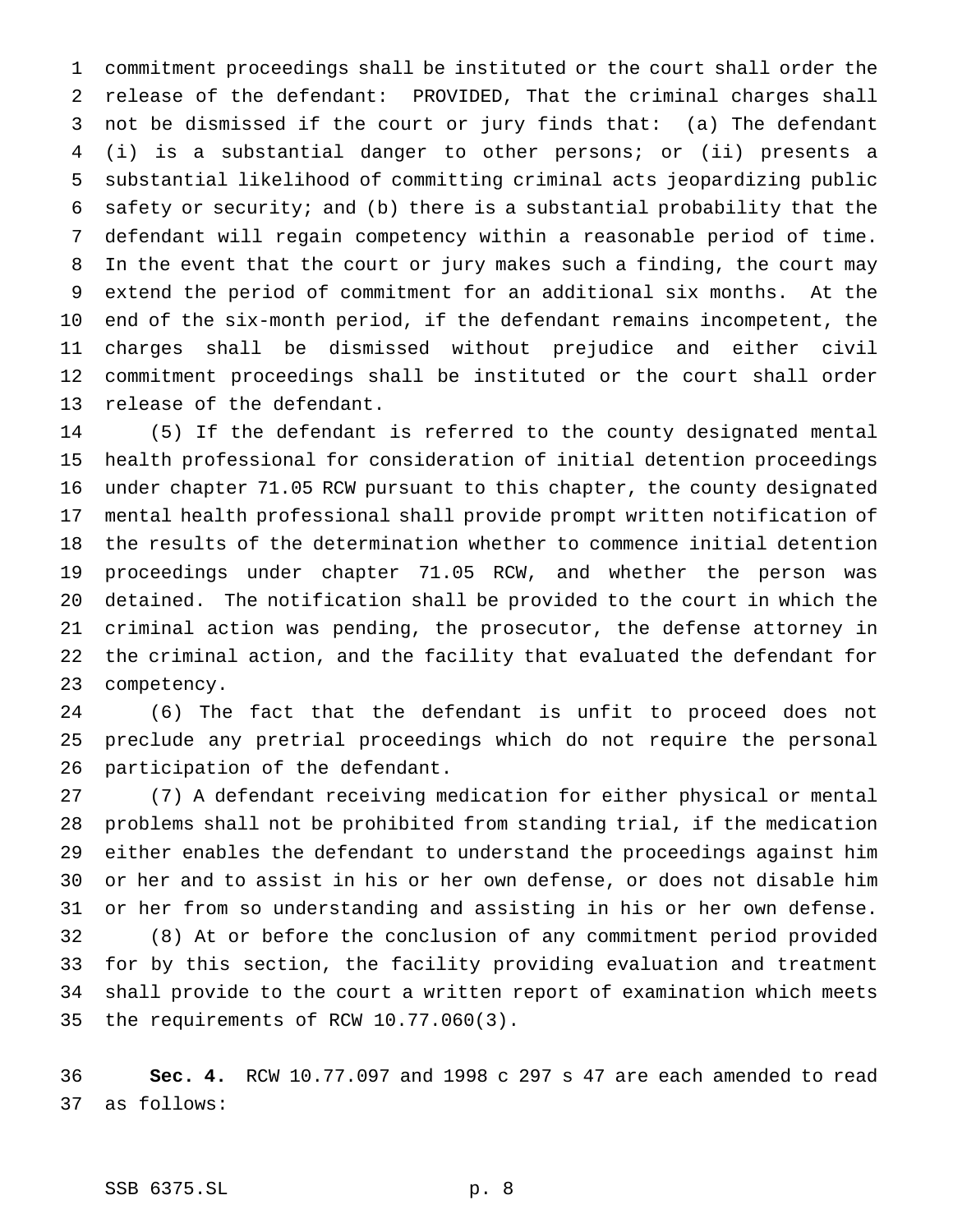commitment proceedings shall be instituted or the court shall order the release of the defendant: PROVIDED, That the criminal charges shall not be dismissed if the court or jury finds that: (a) The defendant (i) is a substantial danger to other persons; or (ii) presents a substantial likelihood of committing criminal acts jeopardizing public safety or security; and (b) there is a substantial probability that the defendant will regain competency within a reasonable period of time. In the event that the court or jury makes such a finding, the court may extend the period of commitment for an additional six months. At the end of the six-month period, if the defendant remains incompetent, the charges shall be dismissed without prejudice and either civil commitment proceedings shall be instituted or the court shall order release of the defendant.

 (5) If the defendant is referred to the county designated mental health professional for consideration of initial detention proceedings under chapter 71.05 RCW pursuant to this chapter, the county designated mental health professional shall provide prompt written notification of the results of the determination whether to commence initial detention proceedings under chapter 71.05 RCW, and whether the person was detained. The notification shall be provided to the court in which the criminal action was pending, the prosecutor, the defense attorney in the criminal action, and the facility that evaluated the defendant for competency.

 (6) The fact that the defendant is unfit to proceed does not preclude any pretrial proceedings which do not require the personal participation of the defendant.

 (7) A defendant receiving medication for either physical or mental problems shall not be prohibited from standing trial, if the medication either enables the defendant to understand the proceedings against him or her and to assist in his or her own defense, or does not disable him or her from so understanding and assisting in his or her own defense. (8) At or before the conclusion of any commitment period provided for by this section, the facility providing evaluation and treatment shall provide to the court a written report of examination which meets the requirements of RCW 10.77.060(3).

 **Sec. 4.** RCW 10.77.097 and 1998 c 297 s 47 are each amended to read as follows:

### SSB 6375.SL p. 8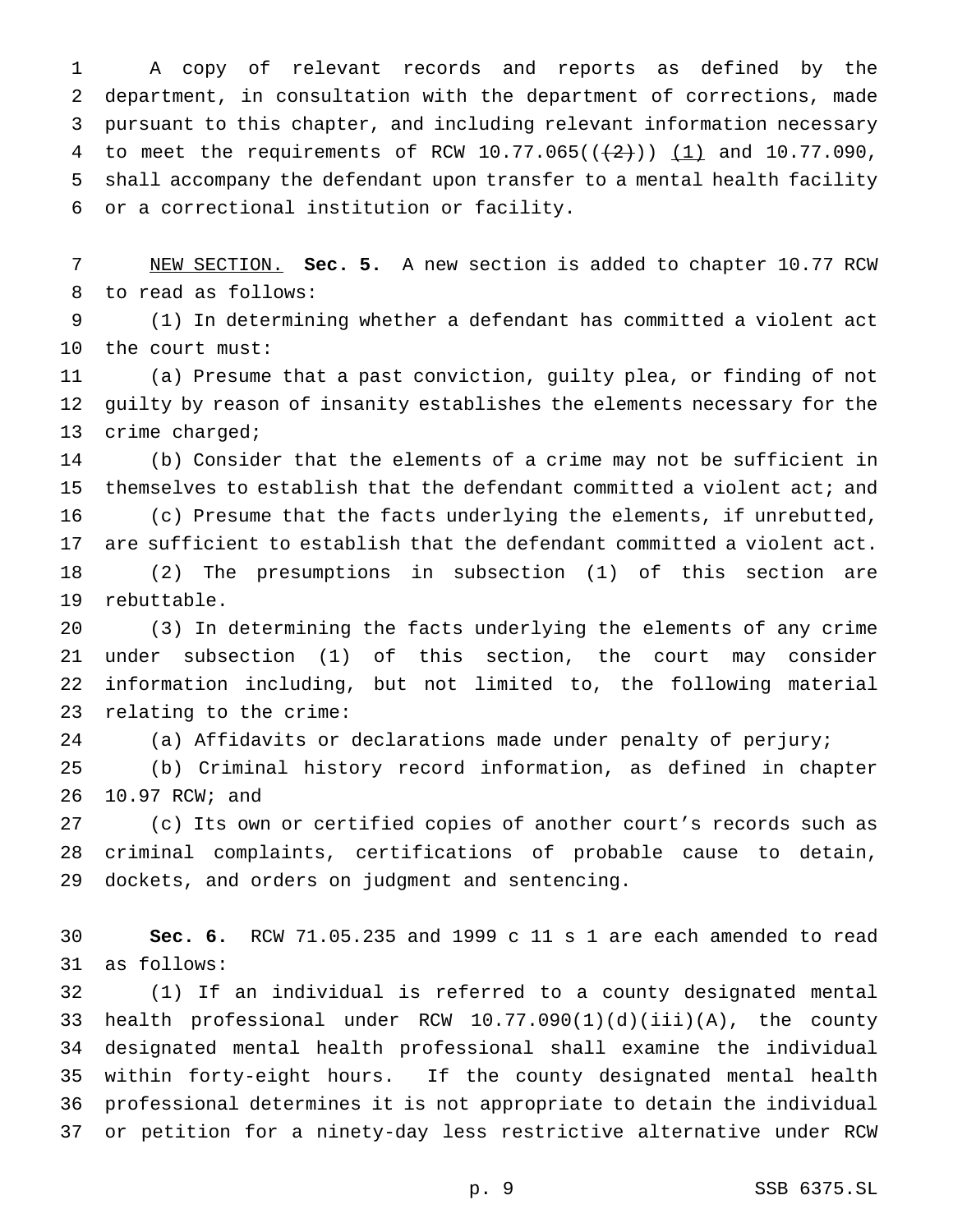A copy of relevant records and reports as defined by the department, in consultation with the department of corrections, made pursuant to this chapter, and including relevant information necessary 4 to meet the requirements of RCW  $10.77.065((\frac{2}{1}))(\frac{1}{1})$  and  $10.77.090$ , shall accompany the defendant upon transfer to a mental health facility or a correctional institution or facility.

 NEW SECTION. **Sec. 5.** A new section is added to chapter 10.77 RCW to read as follows:

 (1) In determining whether a defendant has committed a violent act the court must:

 (a) Presume that a past conviction, guilty plea, or finding of not guilty by reason of insanity establishes the elements necessary for the crime charged;

 (b) Consider that the elements of a crime may not be sufficient in themselves to establish that the defendant committed a violent act; and

 (c) Presume that the facts underlying the elements, if unrebutted, are sufficient to establish that the defendant committed a violent act. (2) The presumptions in subsection (1) of this section are

rebuttable.

 (3) In determining the facts underlying the elements of any crime under subsection (1) of this section, the court may consider information including, but not limited to, the following material relating to the crime:

24 (a) Affidavits or declarations made under penalty of perjury;

 (b) Criminal history record information, as defined in chapter 10.97 RCW; and

 (c) Its own or certified copies of another court's records such as criminal complaints, certifications of probable cause to detain, dockets, and orders on judgment and sentencing.

 **Sec. 6.** RCW 71.05.235 and 1999 c 11 s 1 are each amended to read as follows:

 (1) If an individual is referred to a county designated mental health professional under RCW 10.77.090(1)(d)(iii)(A), the county designated mental health professional shall examine the individual within forty-eight hours. If the county designated mental health professional determines it is not appropriate to detain the individual or petition for a ninety-day less restrictive alternative under RCW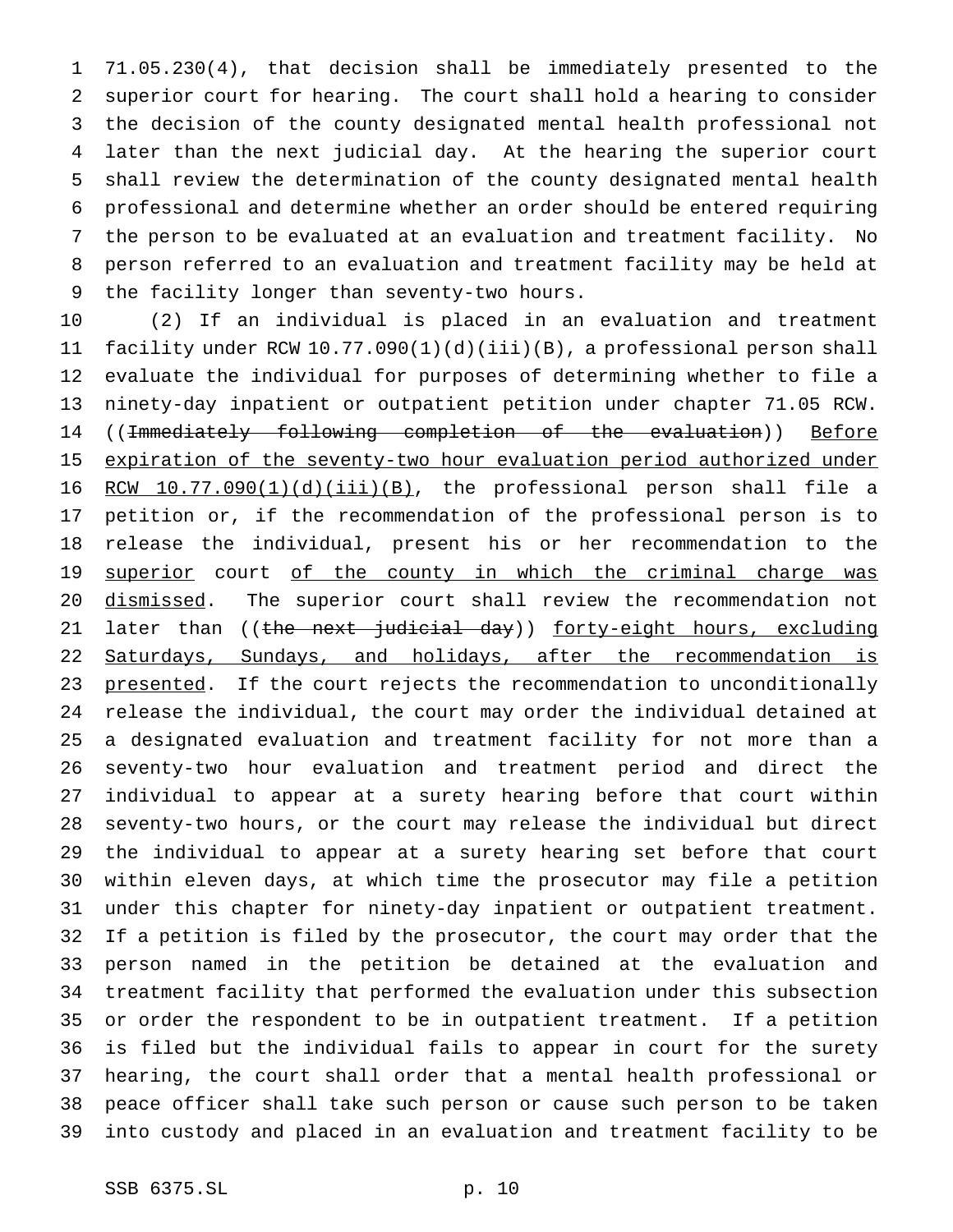71.05.230(4), that decision shall be immediately presented to the superior court for hearing. The court shall hold a hearing to consider the decision of the county designated mental health professional not later than the next judicial day. At the hearing the superior court shall review the determination of the county designated mental health professional and determine whether an order should be entered requiring the person to be evaluated at an evaluation and treatment facility. No person referred to an evaluation and treatment facility may be held at the facility longer than seventy-two hours.

 (2) If an individual is placed in an evaluation and treatment facility under RCW 10.77.090(1)(d)(iii)(B), a professional person shall evaluate the individual for purposes of determining whether to file a ninety-day inpatient or outpatient petition under chapter 71.05 RCW. ((Immediately following completion of the evaluation)) Before expiration of the seventy-two hour evaluation period authorized under 16 RCW  $10.77.090(1)(d)(iii)(B)$ , the professional person shall file a petition or, if the recommendation of the professional person is to release the individual, present his or her recommendation to the 19 superior court of the county in which the criminal charge was 20 dismissed. The superior court shall review the recommendation not 21 later than ((the next judicial day)) forty-eight hours, excluding 22 Saturdays, Sundays, and holidays, after the recommendation is 23 presented. If the court rejects the recommendation to unconditionally release the individual, the court may order the individual detained at a designated evaluation and treatment facility for not more than a seventy-two hour evaluation and treatment period and direct the individual to appear at a surety hearing before that court within seventy-two hours, or the court may release the individual but direct the individual to appear at a surety hearing set before that court within eleven days, at which time the prosecutor may file a petition under this chapter for ninety-day inpatient or outpatient treatment. If a petition is filed by the prosecutor, the court may order that the person named in the petition be detained at the evaluation and treatment facility that performed the evaluation under this subsection or order the respondent to be in outpatient treatment. If a petition is filed but the individual fails to appear in court for the surety hearing, the court shall order that a mental health professional or peace officer shall take such person or cause such person to be taken into custody and placed in an evaluation and treatment facility to be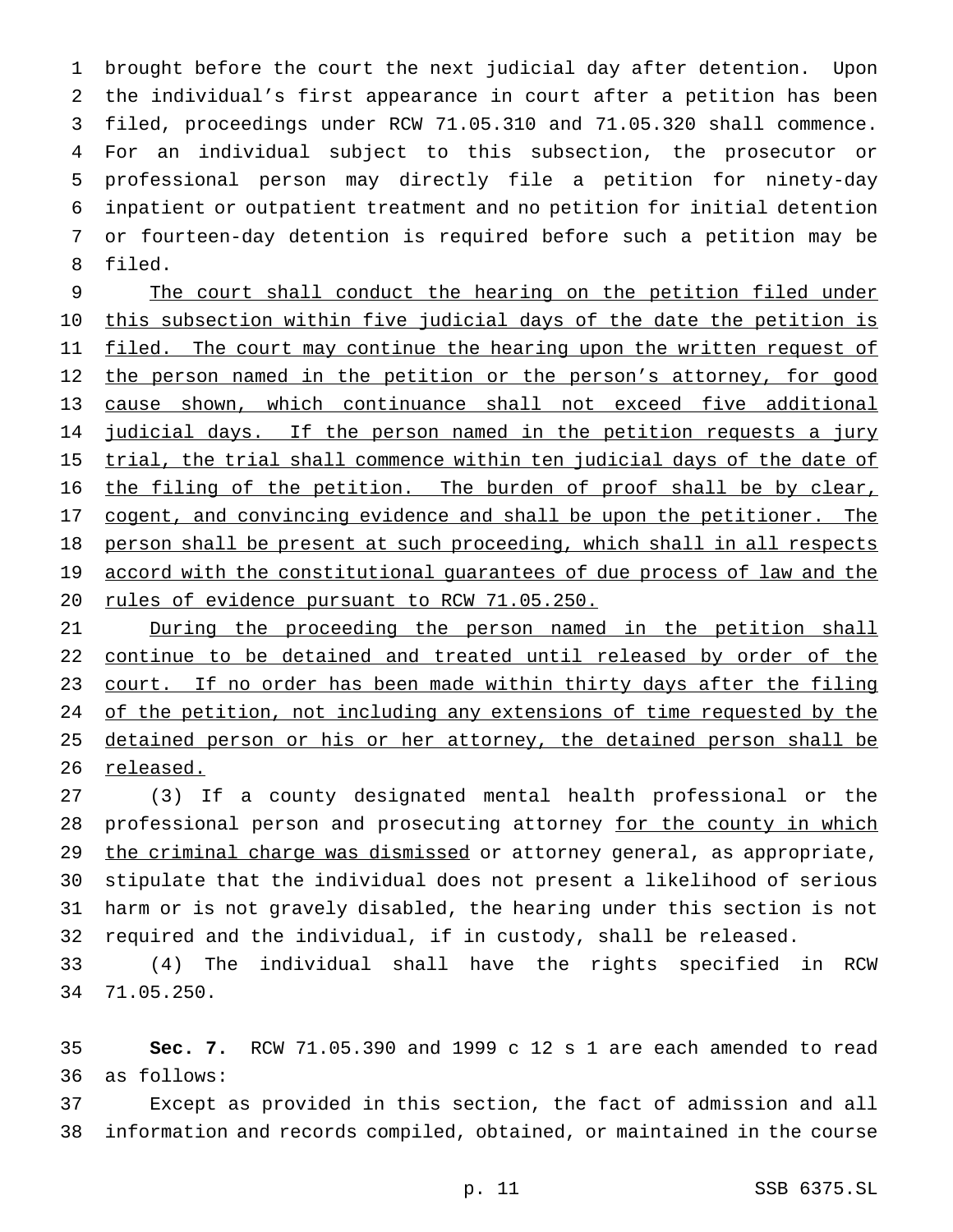brought before the court the next judicial day after detention. Upon the individual's first appearance in court after a petition has been filed, proceedings under RCW 71.05.310 and 71.05.320 shall commence. For an individual subject to this subsection, the prosecutor or professional person may directly file a petition for ninety-day inpatient or outpatient treatment and no petition for initial detention or fourteen-day detention is required before such a petition may be 8 filed.

9 The court shall conduct the hearing on the petition filed under 10 this subsection within five judicial days of the date the petition is 11 filed. The court may continue the hearing upon the written request of 12 the person named in the petition or the person's attorney, for good 13 cause shown, which continuance shall not exceed five additional 14 judicial days. If the person named in the petition requests a jury 15 trial, the trial shall commence within ten judicial days of the date of 16 the filing of the petition. The burden of proof shall be by clear, 17 cogent, and convincing evidence and shall be upon the petitioner. The 18 person shall be present at such proceeding, which shall in all respects 19 accord with the constitutional guarantees of due process of law and the 20 rules of evidence pursuant to RCW 71.05.250.

21 During the proceeding the person named in the petition shall 22 continue to be detained and treated until released by order of the 23 court. If no order has been made within thirty days after the filing 24 of the petition, not including any extensions of time requested by the 25 detained person or his or her attorney, the detained person shall be 26 released.

 (3) If a county designated mental health professional or the 28 professional person and prosecuting attorney for the county in which 29 the criminal charge was dismissed or attorney general, as appropriate, stipulate that the individual does not present a likelihood of serious harm or is not gravely disabled, the hearing under this section is not required and the individual, if in custody, shall be released.

33 (4) The individual shall have the rights specified in RCW 34 71.05.250.

35 **Sec. 7.** RCW 71.05.390 and 1999 c 12 s 1 are each amended to read 36 as follows:

37 Except as provided in this section, the fact of admission and all 38 information and records compiled, obtained, or maintained in the course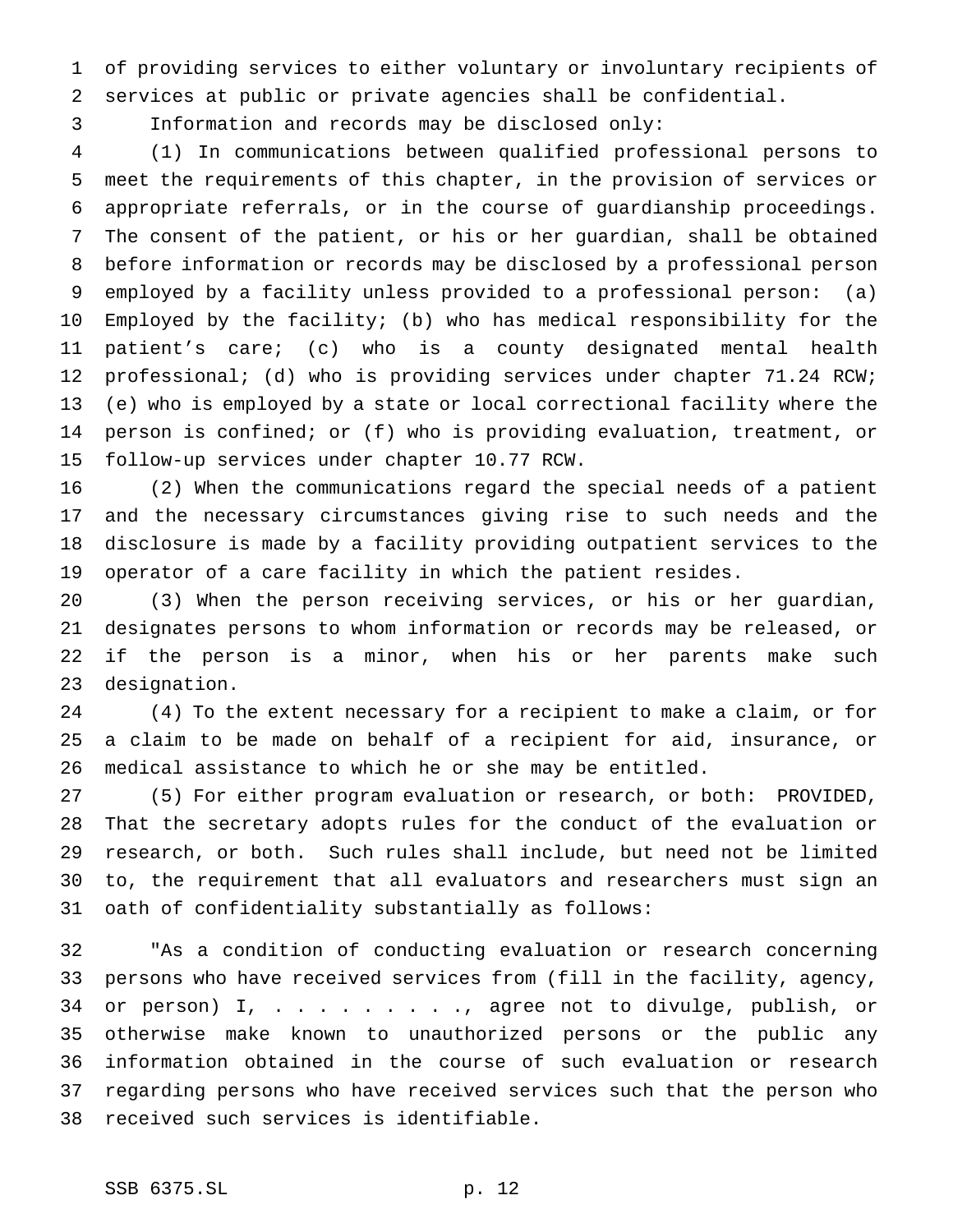of providing services to either voluntary or involuntary recipients of services at public or private agencies shall be confidential.

Information and records may be disclosed only:

 (1) In communications between qualified professional persons to meet the requirements of this chapter, in the provision of services or appropriate referrals, or in the course of guardianship proceedings. The consent of the patient, or his or her guardian, shall be obtained before information or records may be disclosed by a professional person employed by a facility unless provided to a professional person: (a) Employed by the facility; (b) who has medical responsibility for the patient's care; (c) who is a county designated mental health 12 professional; (d) who is providing services under chapter 71.24 RCW; (e) who is employed by a state or local correctional facility where the person is confined; or (f) who is providing evaluation, treatment, or follow-up services under chapter 10.77 RCW.

 (2) When the communications regard the special needs of a patient and the necessary circumstances giving rise to such needs and the disclosure is made by a facility providing outpatient services to the operator of a care facility in which the patient resides.

 (3) When the person receiving services, or his or her guardian, designates persons to whom information or records may be released, or if the person is a minor, when his or her parents make such designation.

 (4) To the extent necessary for a recipient to make a claim, or for a claim to be made on behalf of a recipient for aid, insurance, or medical assistance to which he or she may be entitled.

 (5) For either program evaluation or research, or both: PROVIDED, That the secretary adopts rules for the conduct of the evaluation or research, or both. Such rules shall include, but need not be limited to, the requirement that all evaluators and researchers must sign an oath of confidentiality substantially as follows:

 "As a condition of conducting evaluation or research concerning persons who have received services from (fill in the facility, agency, or person) I, . . . . . . . . ., agree not to divulge, publish, or otherwise make known to unauthorized persons or the public any information obtained in the course of such evaluation or research regarding persons who have received services such that the person who received such services is identifiable.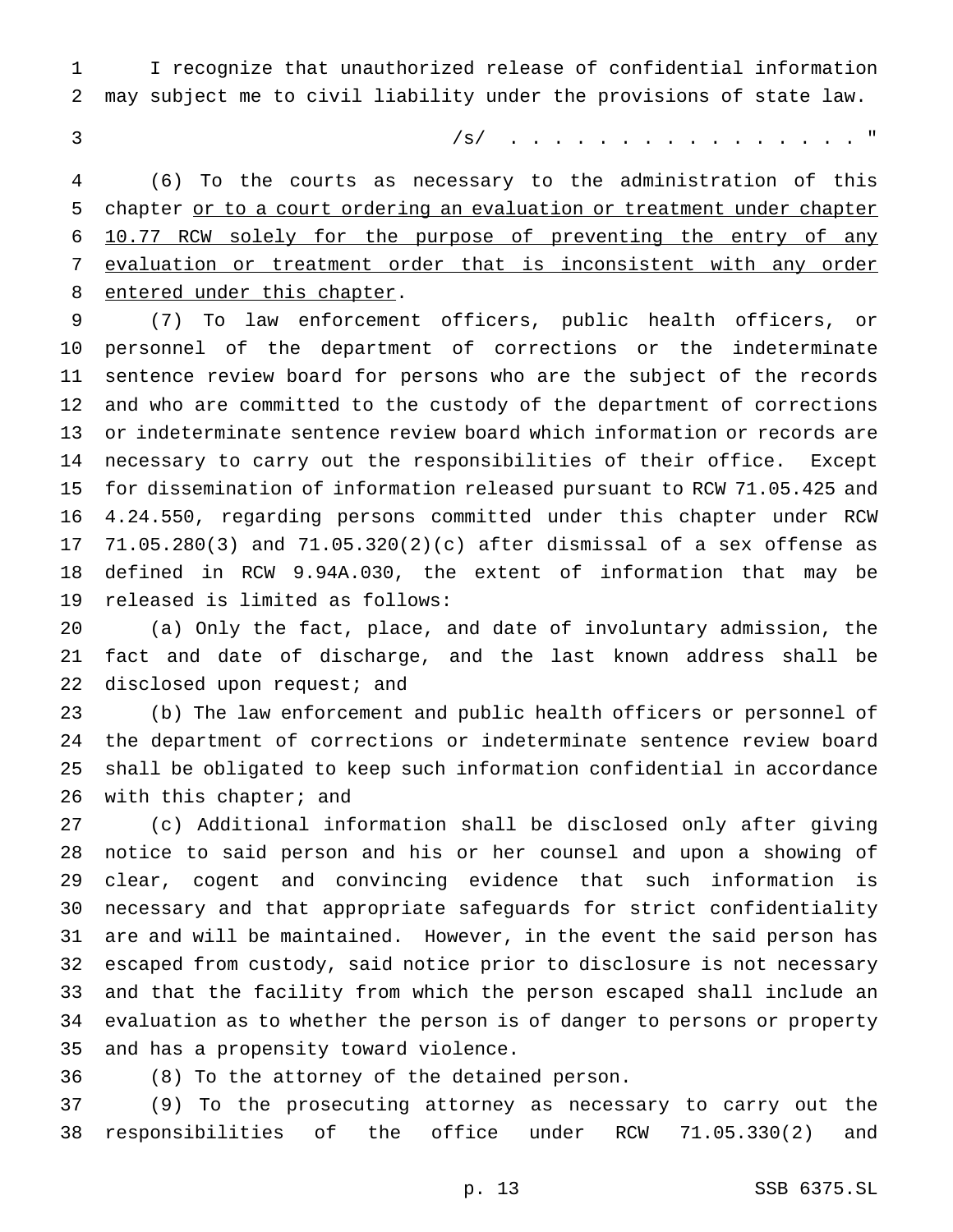I recognize that unauthorized release of confidential information may subject me to civil liability under the provisions of state law.

/s/ . . . . . . . . . . . . . . . . "

 (6) To the courts as necessary to the administration of this 5 chapter or to a court ordering an evaluation or treatment under chapter 10.77 RCW solely for the purpose of preventing the entry of any evaluation or treatment order that is inconsistent with any order entered under this chapter.

 (7) To law enforcement officers, public health officers, or personnel of the department of corrections or the indeterminate sentence review board for persons who are the subject of the records and who are committed to the custody of the department of corrections or indeterminate sentence review board which information or records are necessary to carry out the responsibilities of their office. Except for dissemination of information released pursuant to RCW 71.05.425 and 4.24.550, regarding persons committed under this chapter under RCW 71.05.280(3) and 71.05.320(2)(c) after dismissal of a sex offense as defined in RCW 9.94A.030, the extent of information that may be released is limited as follows:

 (a) Only the fact, place, and date of involuntary admission, the fact and date of discharge, and the last known address shall be 22 disclosed upon request; and

 (b) The law enforcement and public health officers or personnel of the department of corrections or indeterminate sentence review board shall be obligated to keep such information confidential in accordance 26 with this chapter; and

 (c) Additional information shall be disclosed only after giving notice to said person and his or her counsel and upon a showing of clear, cogent and convincing evidence that such information is necessary and that appropriate safeguards for strict confidentiality are and will be maintained. However, in the event the said person has escaped from custody, said notice prior to disclosure is not necessary and that the facility from which the person escaped shall include an evaluation as to whether the person is of danger to persons or property and has a propensity toward violence.

(8) To the attorney of the detained person.

 (9) To the prosecuting attorney as necessary to carry out the responsibilities of the office under RCW 71.05.330(2) and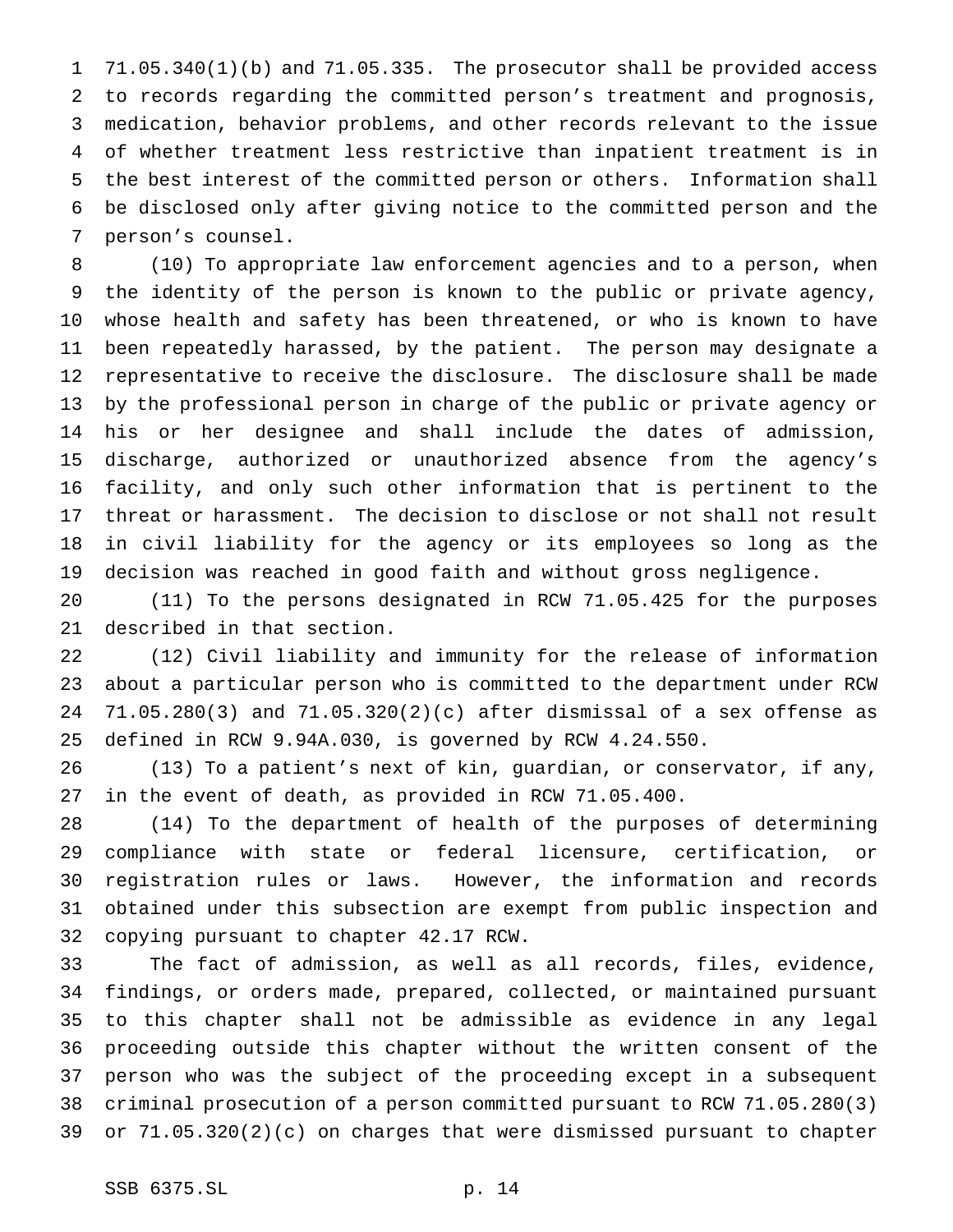71.05.340(1)(b) and 71.05.335. The prosecutor shall be provided access to records regarding the committed person's treatment and prognosis, medication, behavior problems, and other records relevant to the issue of whether treatment less restrictive than inpatient treatment is in the best interest of the committed person or others. Information shall be disclosed only after giving notice to the committed person and the person's counsel.

 (10) To appropriate law enforcement agencies and to a person, when the identity of the person is known to the public or private agency, whose health and safety has been threatened, or who is known to have been repeatedly harassed, by the patient. The person may designate a representative to receive the disclosure. The disclosure shall be made by the professional person in charge of the public or private agency or his or her designee and shall include the dates of admission, discharge, authorized or unauthorized absence from the agency's facility, and only such other information that is pertinent to the threat or harassment. The decision to disclose or not shall not result in civil liability for the agency or its employees so long as the decision was reached in good faith and without gross negligence.

 (11) To the persons designated in RCW 71.05.425 for the purposes described in that section.

 (12) Civil liability and immunity for the release of information about a particular person who is committed to the department under RCW 71.05.280(3) and 71.05.320(2)(c) after dismissal of a sex offense as defined in RCW 9.94A.030, is governed by RCW 4.24.550.

 (13) To a patient's next of kin, guardian, or conservator, if any, in the event of death, as provided in RCW 71.05.400.

 (14) To the department of health of the purposes of determining compliance with state or federal licensure, certification, or registration rules or laws. However, the information and records obtained under this subsection are exempt from public inspection and copying pursuant to chapter 42.17 RCW.

 The fact of admission, as well as all records, files, evidence, findings, or orders made, prepared, collected, or maintained pursuant to this chapter shall not be admissible as evidence in any legal proceeding outside this chapter without the written consent of the person who was the subject of the proceeding except in a subsequent criminal prosecution of a person committed pursuant to RCW 71.05.280(3) or 71.05.320(2)(c) on charges that were dismissed pursuant to chapter